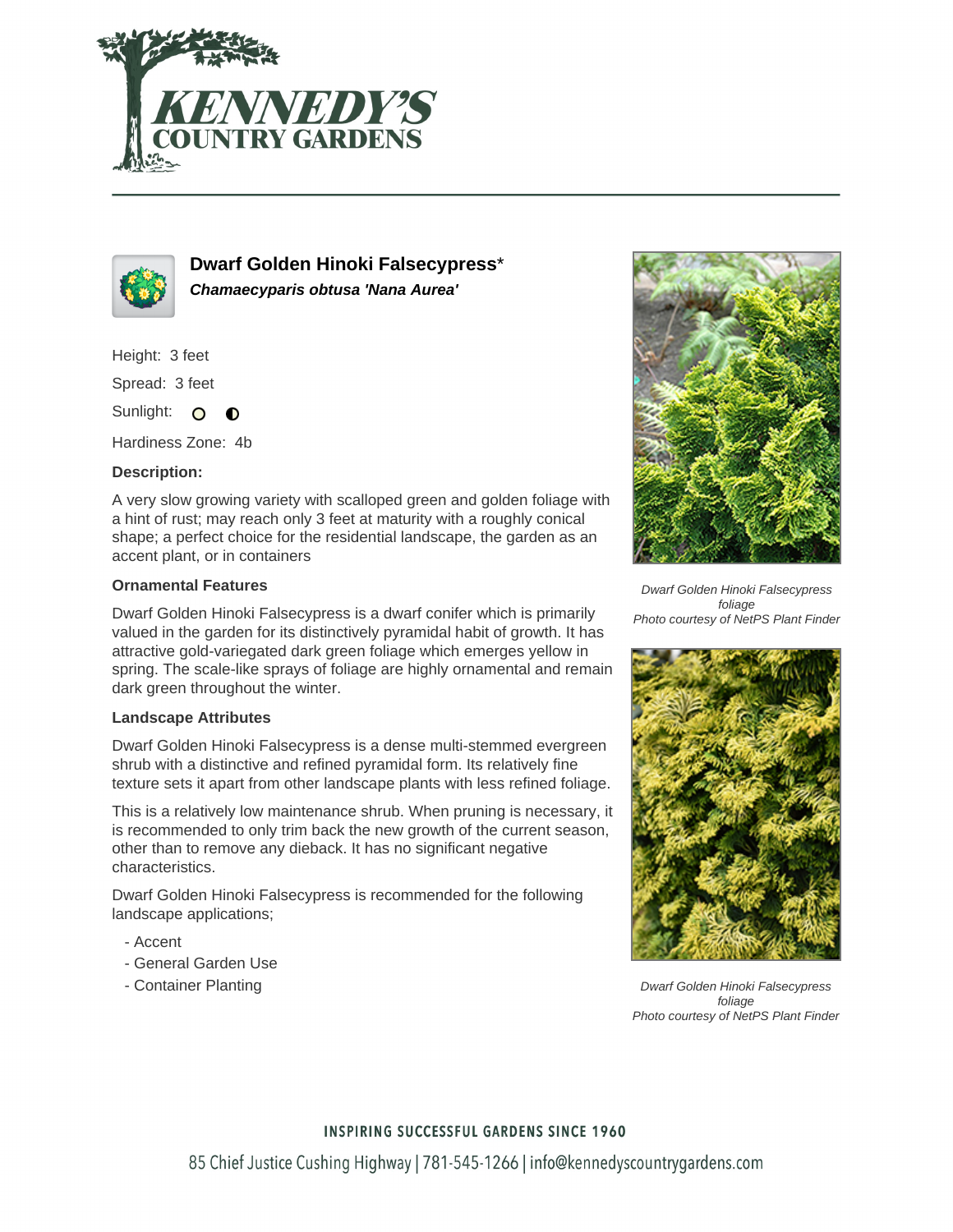



**Dwarf Golden Hinoki Falsecypress**\* **Chamaecyparis obtusa 'Nana Aurea'**

Height: 3 feet

Spread: 3 feet

Sunlight: O  $\bullet$ 

Hardiness Zone: 4b

## **Description:**

A very slow growing variety with scalloped green and golden foliage with a hint of rust; may reach only 3 feet at maturity with a roughly conical shape; a perfect choice for the residential landscape, the garden as an accent plant, or in containers

### **Ornamental Features**

Dwarf Golden Hinoki Falsecypress is a dwarf conifer which is primarily valued in the garden for its distinctively pyramidal habit of growth. It has attractive gold-variegated dark green foliage which emerges yellow in spring. The scale-like sprays of foliage are highly ornamental and remain dark green throughout the winter.

### **Landscape Attributes**

Dwarf Golden Hinoki Falsecypress is a dense multi-stemmed evergreen shrub with a distinctive and refined pyramidal form. Its relatively fine texture sets it apart from other landscape plants with less refined foliage.

This is a relatively low maintenance shrub. When pruning is necessary, it is recommended to only trim back the new growth of the current season, other than to remove any dieback. It has no significant negative characteristics.

Dwarf Golden Hinoki Falsecypress is recommended for the following landscape applications;

- Accent
- General Garden Use
- Container Planting



Dwarf Golden Hinoki Falsecypress foliage Photo courtesy of NetPS Plant Finder



Dwarf Golden Hinoki Falsecypress foliage Photo courtesy of NetPS Plant Finder

### **INSPIRING SUCCESSFUL GARDENS SINCE 1960**